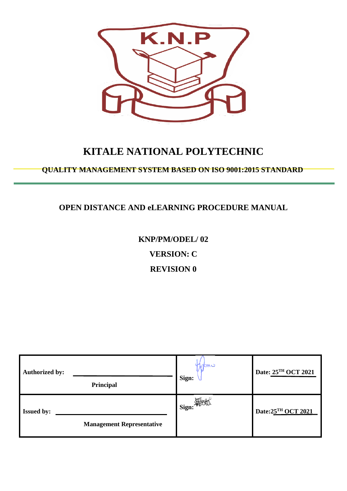

# **KITALE NATIONAL POLYTECHNIC**

**QUALITY MANAGEMENT SYSTEM BASED ON ISO 9001:2015 STANDARD**

# **OPEN DISTANCE AND eLEARNING PROCEDURE MANUAL**

**KNP/PM/ODEL/ 02 VERSION: C REVISION 0**

| <b>Authorized by:</b> | Principal                        | <b>Typur</b><br>Sign: | Date: 25TH OCT 2021 |
|-----------------------|----------------------------------|-----------------------|---------------------|
| <b>Issued by:</b>     | <b>Management Representative</b> | I Sign: Herth         | Date:25TH OCT 2021  |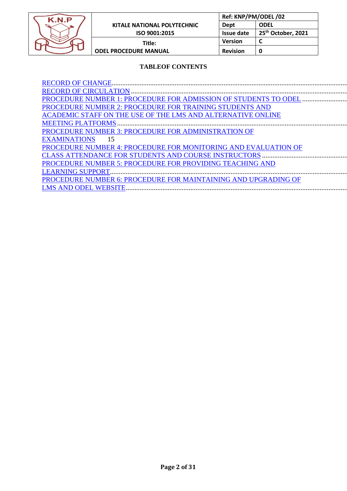

## **TABLEOF CONTENTS**

| <b>PROCEDURE NUMBER 2: PROCEDURE FOR TRAINING STUDENTS AND</b>  |
|-----------------------------------------------------------------|
| ACADEMIC STAFF ON THE USE OF THE LMS AND ALTERNATIVE ONLINE     |
|                                                                 |
| <b>PROCEDURE NUMBER 3: PROCEDURE FOR ADMINISTRATION OF</b>      |
| EXAMINATIONS 15                                                 |
| PROCEDURE NUMBER 4: PROCEDURE FOR MONITORING AND EVALUATION OF  |
|                                                                 |
| <b>PROCEDURE NUMBER 5: PROCEDURE FOR PROVIDING TEACHING AND</b> |
|                                                                 |
| PROCEDURE NUMBER 6: PROCEDURE FOR MAINTAINING AND UPGRADING OF  |
|                                                                 |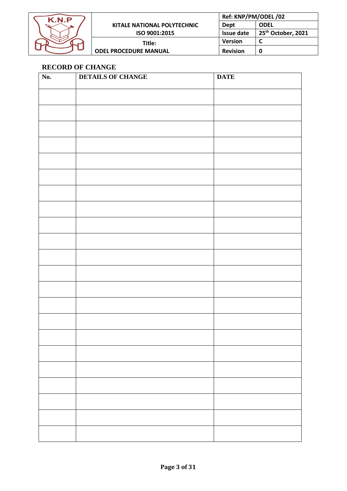

| Р |                              | Ref: KNP/PM/ODEL/02 |                      |
|---|------------------------------|---------------------|----------------------|
| ↘ | KITALE NATIONAL POLYTECHNIC  | Dept                | <b>ODEL</b>          |
|   | ISO 9001:2015                | <b>Issue date</b>   | $25th$ October, 2021 |
|   | Title:                       | <b>Version</b>      |                      |
|   | <b>ODEL PROCEDURE MANUAL</b> | <b>Revision</b>     |                      |

# <span id="page-2-0"></span>**RECORD OF CHANGE**

| No. | <b>DETAILS OF CHANGE</b> | <b>DATE</b> |
|-----|--------------------------|-------------|
|     |                          |             |
|     |                          |             |
|     |                          |             |
|     |                          |             |
|     |                          |             |
|     |                          |             |
|     |                          |             |
|     |                          |             |
|     |                          |             |
|     |                          |             |
|     |                          |             |
|     |                          |             |
|     |                          |             |
|     |                          |             |
|     |                          |             |
|     |                          |             |
|     |                          |             |
|     |                          |             |
|     |                          |             |
|     |                          |             |
|     |                          |             |
|     |                          |             |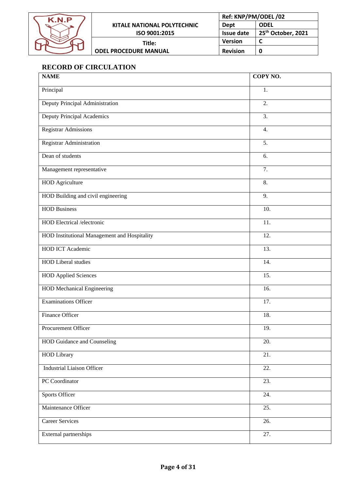

|                       |                              |                 | Ref: KNP/PM/ODEL/02            |  |
|-----------------------|------------------------------|-----------------|--------------------------------|--|
| $\blacktriangleright$ | KITALE NATIONAL POLYTECHNIC  | Dept            | <b>ODEL</b>                    |  |
|                       | ISO 9001:2015                | Issue date      | 25 <sup>th</sup> October, 2021 |  |
|                       | Title:                       | <b>Version</b>  |                                |  |
|                       | <b>ODEL PROCEDURE MANUAL</b> | <b>Revision</b> |                                |  |

# <span id="page-3-0"></span>**RECORD OF CIRCULATION**

| <b>NAME</b>                                  | COPY NO.         |
|----------------------------------------------|------------------|
| Principal                                    | 1.               |
| Deputy Principal Administration              | 2.               |
| Deputy Principal Academics                   | 3.               |
| <b>Registrar Admissions</b>                  | 4.               |
| Registrar Administration                     | $\overline{5}$ . |
| Dean of students                             | 6.               |
| Management representative                    | 7.               |
| <b>HOD</b> Agriculture                       | 8.               |
| HOD Building and civil engineering           | 9.               |
| <b>HOD</b> Business                          | 10.              |
| <b>HOD</b> Electrical /electronic            | 11.              |
| HOD Institutional Management and Hospitality | 12.              |
| HOD ICT Academic                             | 13.              |
| <b>HOD</b> Liberal studies                   | 14.              |
| <b>HOD Applied Sciences</b>                  | 15.              |
| <b>HOD Mechanical Engineering</b>            | 16.              |
| <b>Examinations Officer</b>                  | 17.              |
| <b>Finance Officer</b>                       | 18.              |
| Procurement Officer                          | 19.              |
| <b>HOD Guidance and Counseling</b>           | 20.              |
| <b>HOD Library</b>                           | 21.              |
| <b>Industrial Liaison Officer</b>            | 22.              |
| PC Coordinator                               | 23.              |
| <b>Sports Officer</b>                        | 24.              |
| Maintenance Officer                          | 25.              |
| <b>Career Services</b>                       | 26.              |
| External partnerships                        | 27.              |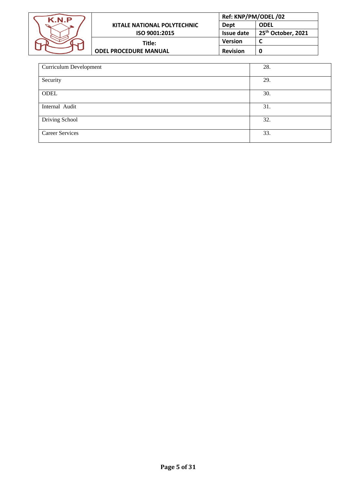| (N P |                              | Ref: KNP/PM/ODEL/02 |                      |
|------|------------------------------|---------------------|----------------------|
|      | KITALE NATIONAL POLYTECHNIC  | Dept                | <b>ODEL</b>          |
|      | ISO 9001:2015                | Issue date          | $25th$ October, 2021 |
|      | Title:                       | <b>Version</b>      |                      |
|      | <b>ODEL PROCEDURE MANUAL</b> | <b>Revision</b>     |                      |

 $\overline{\phantom{a}}$ 

| <b>Curriculum Development</b> | 28. |
|-------------------------------|-----|
| Security                      | 29. |
| ODEL                          | 30. |
| Internal Audit                | 31. |
| Driving School                | 32. |
| <b>Career Services</b>        | 33. |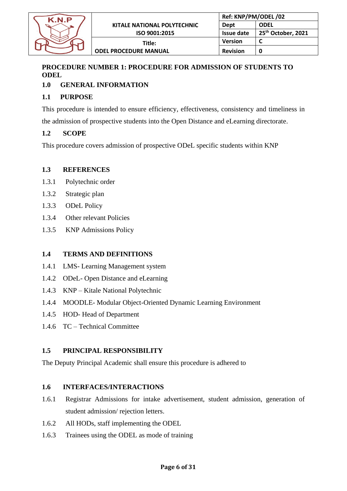

# <span id="page-5-0"></span>**PROCEDURE NUMBER 1: PROCEDURE FOR ADMISSION OF STUDENTS TO ODEL**

# **1.0 GENERAL INFORMATION**

# **1.1 PURPOSE**

This procedure is intended to ensure efficiency, effectiveness, consistency and timeliness in the admission of prospective students into the Open Distance and eLearning directorate.

# **1.2 SCOPE**

This procedure covers admission of prospective ODeL specific students within KNP

# **1.3 REFERENCES**

- 1.3.1 Polytechnic order
- 1.3.2 Strategic plan
- 1.3.3 ODeL Policy
- 1.3.4 Other relevant Policies
- 1.3.5 KNP Admissions Policy

# **1.4 TERMS AND DEFINITIONS**

- 1.4.1 LMS- Learning Management system
- 1.4.2 ODeL- Open Distance and eLearning
- 1.4.3 KNP Kitale National Polytechnic
- 1.4.4 MOODLE- Modular Object-Oriented Dynamic Learning Environment
- 1.4.5 HOD- Head of Department
- 1.4.6 TC Technical Committee

# **1.5 PRINCIPAL RESPONSIBILITY**

The Deputy Principal Academic shall ensure this procedure is adhered to

- 1.6.1 Registrar Admissions for intake advertisement, student admission, generation of student admission/ rejection letters.
- 1.6.2 All HODs, staff implementing the ODEL
- 1.6.3 Trainees using the ODEL as mode of training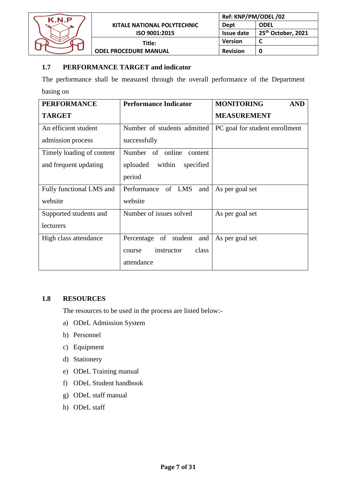

# **1.7 PERFORMANCE TARGET and indicator**

The performance shall be measured through the overall performance of the Department basing on

| <b>PERFORMANCE</b>        | <b>Performance Indicator</b>    | <b>MONITORING</b><br><b>AND</b> |
|---------------------------|---------------------------------|---------------------------------|
| <b>TARGET</b>             |                                 | <b>MEASUREMENT</b>              |
| An efficient student      | Number of students admitted     | PC goal for student enrollment  |
| admission process         | successfully                    |                                 |
| Timely loading of content | Number of online content        |                                 |
| and frequent updating     | uploaded<br>within<br>specified |                                 |
|                           | period                          |                                 |
| Fully functional LMS and  | Performance of LMS<br>and       | As per goal set                 |
| website                   | website                         |                                 |
| Supported students and    | Number of issues solved         | As per goal set                 |
| lecturers                 |                                 |                                 |
| High class attendance     | Percentage of student<br>and    | As per goal set                 |
|                           | class<br>instructor<br>course   |                                 |
|                           | attendance                      |                                 |

## **1.8 RESOURCES**

- a) ODeL Admission System
- b) Personnel
- c) Equipment
- d) Stationery
- e) ODeL Training manual
- f) ODeL Student handbook
- g) ODeL staff manual
- h) ODeL staff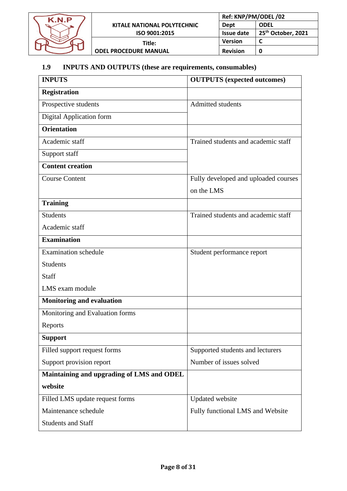

# **1.9 INPUTS AND OUTPUTS (these are requirements, consumables)**

| <b>INPUTS</b>                             | <b>OUTPUTS</b> (expected outcomes)   |  |
|-------------------------------------------|--------------------------------------|--|
| <b>Registration</b>                       |                                      |  |
| Prospective students                      | <b>Admitted students</b>             |  |
| Digital Application form                  |                                      |  |
| <b>Orientation</b>                        |                                      |  |
| Academic staff                            | Trained students and academic staff  |  |
| Support staff                             |                                      |  |
| <b>Content creation</b>                   |                                      |  |
| <b>Course Content</b>                     | Fully developed and uploaded courses |  |
|                                           | on the LMS                           |  |
| <b>Training</b>                           |                                      |  |
| <b>Students</b>                           | Trained students and academic staff  |  |
| Academic staff                            |                                      |  |
| <b>Examination</b>                        |                                      |  |
| Examination schedule                      | Student performance report           |  |
| <b>Students</b>                           |                                      |  |
| Staff                                     |                                      |  |
| LMS exam module                           |                                      |  |
| <b>Monitoring and evaluation</b>          |                                      |  |
| Monitoring and Evaluation forms           |                                      |  |
| Reports                                   |                                      |  |
| <b>Support</b>                            |                                      |  |
| Filled support request forms              | Supported students and lecturers     |  |
| Support provision report                  | Number of issues solved              |  |
| Maintaining and upgrading of LMS and ODEL |                                      |  |
| website                                   |                                      |  |
| Filled LMS update request forms           | Updated website                      |  |
| Maintenance schedule                      | Fully functional LMS and Website     |  |
| <b>Students and Staff</b>                 |                                      |  |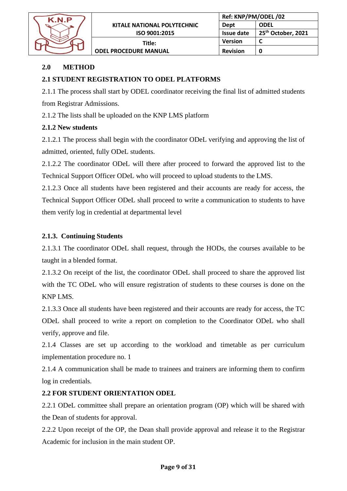

# **2.0 METHOD**

# **2.1 STUDENT REGISTRATION TO ODEL PLATFORMS**

2.1.1 The process shall start by ODEL coordinator receiving the final list of admitted students from Registrar Admissions.

2.1.2 The lists shall be uploaded on the KNP LMS platform

## **2.1.2 New students**

2.1.2.1 The process shall begin with the coordinator ODeL verifying and approving the list of admitted, oriented, fully ODeL students.

2.1.2.2 The coordinator ODeL will there after proceed to forward the approved list to the Technical Support Officer ODeL who will proceed to upload students to the LMS.

2.1.2.3 Once all students have been registered and their accounts are ready for access, the Technical Support Officer ODeL shall proceed to write a communication to students to have them verify log in credential at departmental level

## **2.1.3. Continuing Students**

2.1.3.1 The coordinator ODeL shall request, through the HODs, the courses available to be taught in a blended format.

2.1.3.2 On receipt of the list, the coordinator ODeL shall proceed to share the approved list with the TC ODeL who will ensure registration of students to these courses is done on the KNP LMS.

2.1.3.3 Once all students have been registered and their accounts are ready for access, the TC ODeL shall proceed to write a report on completion to the Coordinator ODeL who shall verify, approve and file.

2.1.4 Classes are set up according to the workload and timetable as per curriculum implementation procedure no. 1

2.1.4 A communication shall be made to trainees and trainers are informing them to confirm log in credentials.

# **2.2 FOR STUDENT ORIENTATION ODEL**

2.2.1 ODeL committee shall prepare an orientation program (OP) which will be shared with the Dean of students for approval.

2.2.2 Upon receipt of the OP, the Dean shall provide approval and release it to the Registrar Academic for inclusion in the main student OP.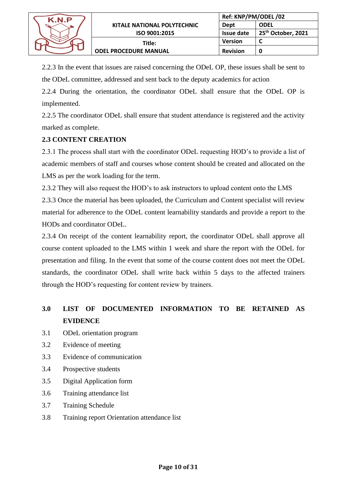

2.2.3 In the event that issues are raised concerning the ODeL OP, these issues shall be sent to the ODeL committee, addressed and sent back to the deputy academics for action

2.2.4 During the orientation, the coordinator ODeL shall ensure that the ODeL OP is implemented.

2.2.5 The coordinator ODeL shall ensure that student attendance is registered and the activity marked as complete.

# **2.3 CONTENT CREATION**

2.3.1 The process shall start with the coordinator ODeL requesting HOD's to provide a list of academic members of staff and courses whose content should be created and allocated on the LMS as per the work loading for the term.

2.3.2 They will also request the HOD's to ask instructors to upload content onto the LMS

2.3.3 Once the material has been uploaded, the Curriculum and Content specialist will review material for adherence to the ODeL content learnability standards and provide a report to the HODs and coordinator ODeL.

2.3.4 On receipt of the content learnability report, the coordinator ODeL shall approve all course content uploaded to the LMS within 1 week and share the report with the ODeL for presentation and filing. In the event that some of the course content does not meet the ODeL standards, the coordinator ODeL shall write back within 5 days to the affected trainers through the HOD's requesting for content review by trainers.

# **3.0 LIST OF DOCUMENTED INFORMATION TO BE RETAINED AS EVIDENCE**

- 3.1 ODeL orientation program
- 3.2 Evidence of meeting
- 3.3 Evidence of communication
- 3.4 Prospective students
- 3.5 Digital Application form
- 3.6 Training attendance list
- 3.7 Training Schedule
- 3.8 Training report Orientation attendance list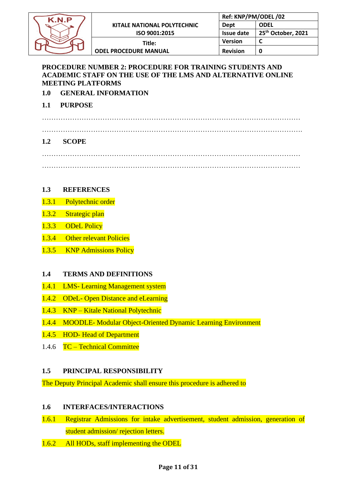

# <span id="page-10-0"></span>**PROCEDURE NUMBER 2: PROCEDURE FOR TRAINING STUDENTS AND ACADEMIC STAFF ON THE USE OF THE LMS AND ALTERNATIVE ONLINE MEETING PLATFORMS**

- **1.0 GENERAL INFORMATION**
- **1.1 PURPOSE**

………………………………………………………………………………………………… ………………………………………………………………………………………………….

# **1.2 SCOPE**

………………………………………………………………………………………………… …………………………………………………………………………………………………

# **1.3 REFERENCES**

- 1.3.1 Polytechnic order
- 1.3.2 Strategic plan
- 1.3.3 ODeL Policy
- 1.3.4 Other relevant Policies
- 1.3.5 KNP Admissions Policy

# **1.4 TERMS AND DEFINITIONS**

- 1.4.1 LMS- Learning Management system
- 1.4.2 ODeL- Open Distance and eLearning
- 1.4.3 KNP Kitale National Polytechnic
- 1.4.4 MOODLE- Modular Object-Oriented Dynamic Learning Environment
- 1.4.5 HOD- Head of Department
- 1.4.6 TC Technical Committee

## **1.5 PRINCIPAL RESPONSIBILITY**

The Deputy Principal Academic shall ensure this procedure is adhered to

- 1.6.1 Registrar Admissions for intake advertisement, student admission, generation of student admission/ rejection letters.
- 1.6.2 All HODs, staff implementing the ODEL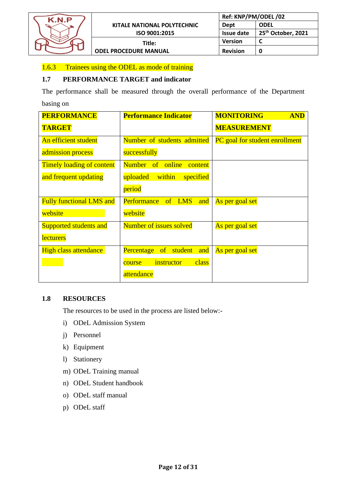

# 1.6.3 Trainees using the ODEL as mode of training

# **1.7 PERFORMANCE TARGET and indicator**

The performance shall be measured through the overall performance of the Department basing on

| <b>PERFORMANCE</b>               | <b>Performance Indicator</b>        | <b>MONITORING</b><br><b>AND</b>       |
|----------------------------------|-------------------------------------|---------------------------------------|
| <b>TARGET</b>                    |                                     | <b>MEASUREMENT</b>                    |
| An efficient student             | Number of students admitted         | <b>PC</b> goal for student enrollment |
| admission process                | successfully                        |                                       |
| <b>Timely loading of content</b> | Number of online<br>content         |                                       |
| and frequent updating            | specified<br>within<br>uploaded     |                                       |
|                                  | period                              |                                       |
| <b>Fully functional LMS and</b>  | <b>Performance</b><br>of LMS<br>and | As per goal set                       |
| website                          | website                             |                                       |
| <b>Supported students and</b>    | <b>Number of issues solved</b>      | As per goal set                       |
| lecturers                        |                                     |                                       |
| <b>High class attendance</b>     | Percentage of student<br>and        | As per goal set                       |
|                                  | instructor<br>class<br>course       |                                       |
|                                  | attendance                          |                                       |

## **1.8 RESOURCES**

- i) ODeL Admission System
- j) Personnel
- k) Equipment
- l) Stationery
- m) ODeL Training manual
- n) ODeL Student handbook
- o) ODeL staff manual
- p) ODeL staff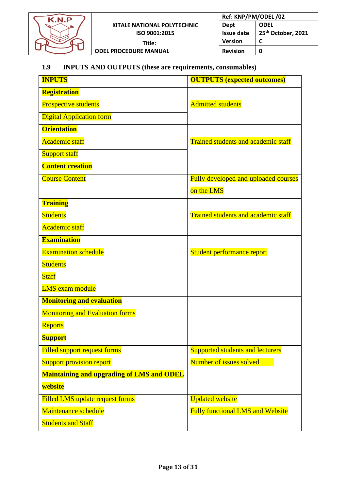

# **1.9 INPUTS AND OUTPUTS (these are requirements, consumables)**

| <b>INPUTS</b>                                    | <b>OUTPUTS (expected outcomes)</b>         |  |
|--------------------------------------------------|--------------------------------------------|--|
| <b>Registration</b>                              |                                            |  |
| <b>Prospective students</b>                      | <b>Admitted students</b>                   |  |
| <b>Digital Application form</b>                  |                                            |  |
| <b>Orientation</b>                               |                                            |  |
| <b>Academic staff</b>                            | <b>Trained students and academic staff</b> |  |
| <b>Support staff</b>                             |                                            |  |
| <b>Content creation</b>                          |                                            |  |
| <b>Course Content</b>                            | Fully developed and uploaded courses       |  |
|                                                  | on the LMS                                 |  |
| <b>Training</b>                                  |                                            |  |
| <b>Students</b>                                  | Trained students and academic staff        |  |
| <b>Academic staff</b>                            |                                            |  |
| <b>Examination</b>                               |                                            |  |
| <b>Examination schedule</b>                      | Student performance report                 |  |
| <b>Students</b>                                  |                                            |  |
| <b>Staff</b>                                     |                                            |  |
| <b>LMS</b> exam module                           |                                            |  |
| <b>Monitoring and evaluation</b>                 |                                            |  |
| <b>Monitoring and Evaluation forms</b>           |                                            |  |
| Reports                                          |                                            |  |
| <b>Support</b>                                   |                                            |  |
| <b>Filled support request forms</b>              | <b>Supported students and lecturers</b>    |  |
| <b>Support provision report</b>                  | Number of issues solved                    |  |
| <b>Maintaining and upgrading of LMS and ODEL</b> |                                            |  |
| website                                          |                                            |  |
| <b>Filled LMS update request forms</b>           | <b>Updated website</b>                     |  |
| Maintenance schedule                             | <b>Fully functional LMS and Website</b>    |  |
| <b>Students and Staff</b>                        |                                            |  |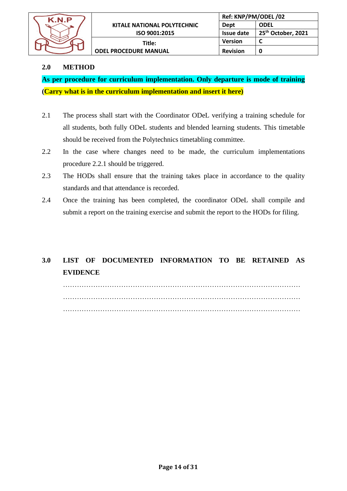

## **2.0 METHOD**

**As per procedure for curriculum implementation. Only departure is mode of training (Carry what is in the curriculum implementation and insert it here)**

- 2.1 The process shall start with the Coordinator ODeL verifying a training schedule for all students, both fully ODeL students and blended learning students. This timetable should be received from the Polytechnics timetabling committee.
- 2.2 In the case where changes need to be made, the curriculum implementations procedure 2.2.1 should be triggered.
- 2.3 The HODs shall ensure that the training takes place in accordance to the quality standards and that attendance is recorded.
- 2.4 Once the training has been completed, the coordinator ODeL shall compile and submit a report on the training exercise and submit the report to the HODs for filing.

# **3.0 LIST OF DOCUMENTED INFORMATION TO BE RETAINED AS EVIDENCE**

………………………………………………………………………………………… ………………………………………………………………………………………… …………………………………………………………………………………………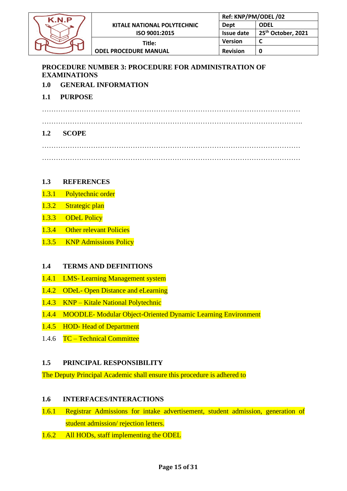

## <span id="page-14-0"></span>**PROCEDURE NUMBER 3: PROCEDURE FOR ADMINISTRATION OF EXAMINATIONS**

# **1.0 GENERAL INFORMATION**

# **1.1 PURPOSE**

………………………………………………………………………………………………… ………………………………………………………………………………………………….

# **1.2 SCOPE**

…………………………………………………………………………………………………

# **1.3 REFERENCES**

- 1.3.1 Polytechnic order
- 1.3.2 Strategic plan
- 1.3.3 ODeL Policy
- 1.3.4 Other relevant Policies
- 1.3.5 KNP Admissions Policy

# **1.4 TERMS AND DEFINITIONS**

- 1.4.1 LMS- Learning Management system
- 1.4.2 ODeL- Open Distance and eLearning
- 1.4.3 KNP Kitale National Polytechnic
- 1.4.4 MOODLE- Modular Object-Oriented Dynamic Learning Environment
- 1.4.5 HOD- Head of Department
- 1.4.6 TC Technical Committee

# **1.5 PRINCIPAL RESPONSIBILITY**

The Deputy Principal Academic shall ensure this procedure is adhered to

- 1.6.1 Registrar Admissions for intake advertisement, student admission, generation of student admission/rejection letters.
- 1.6.2 All HODs, staff implementing the ODEL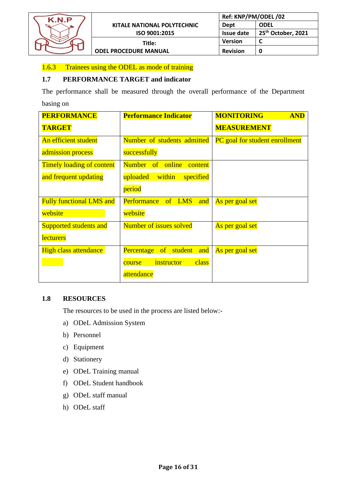

# 1.6.3 Trainees using the ODEL as mode of training

# **1.7 PERFORMANCE TARGET and indicator**

The performance shall be measured through the overall performance of the Department basing on

| <b>PERFORMANCE</b>               | <b>Performance Indicator</b>        | <b>MONITORING</b><br><b>AND</b>       |
|----------------------------------|-------------------------------------|---------------------------------------|
| <b>TARGET</b>                    |                                     | <b>MEASUREMENT</b>                    |
| An efficient student             | Number of students admitted         | <b>PC</b> goal for student enrollment |
| admission process                | successfully                        |                                       |
| <b>Timely loading of content</b> | Number of online<br>content         |                                       |
| and frequent updating            | within<br>specified<br>uploaded     |                                       |
|                                  | period                              |                                       |
| <b>Fully functional LMS and</b>  | <b>Performance</b><br>of LMS<br>and | As per goal set                       |
| website                          | website                             |                                       |
| <b>Supported students and</b>    | <b>Number of issues solved</b>      | As per goal set                       |
| lecturers                        |                                     |                                       |
| <b>High class attendance</b>     | Percentage of student<br>and        | As per goal set                       |
|                                  | instructor<br>class<br>course       |                                       |
|                                  | attendance                          |                                       |

## **1.8 RESOURCES**

- a) ODeL Admission System
- b) Personnel
- c) Equipment
- d) Stationery
- e) ODeL Training manual
- f) ODeL Student handbook
- g) ODeL staff manual
- h) ODeL staff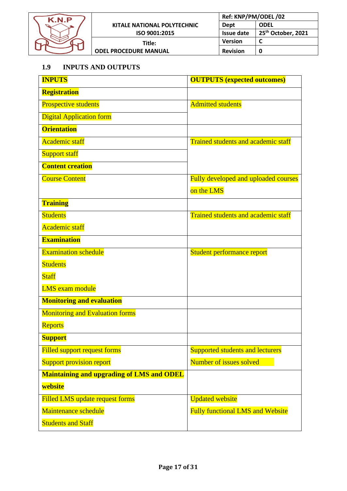

| .P |                              | Ref: KNP/PM/ODEL/02 |                                |
|----|------------------------------|---------------------|--------------------------------|
|    | KITALE NATIONAL POLYTECHNIC  | Dept                | <b>ODEL</b>                    |
|    | ISO 9001:2015                | Issue date          | 25 <sup>th</sup> October, 2021 |
|    | Title:                       | <b>Version</b>      |                                |
|    | <b>ODEL PROCEDURE MANUAL</b> | <b>Revision</b>     |                                |

# **1.9 INPUTS AND OUTPUTS**

| <b>INPUTS</b>                                    | <b>OUTPUTS (expected outcomes)</b>         |
|--------------------------------------------------|--------------------------------------------|
| <b>Registration</b>                              |                                            |
| Prospective students                             | <b>Admitted students</b>                   |
| <b>Digital Application form</b>                  |                                            |
| <b>Orientation</b>                               |                                            |
| <b>Academic staff</b>                            | <b>Trained students and academic staff</b> |
| <b>Support staff</b>                             |                                            |
| <b>Content creation</b>                          |                                            |
| <b>Course Content</b>                            | Fully developed and uploaded courses       |
|                                                  | on the LMS                                 |
| <b>Training</b>                                  |                                            |
| <b>Students</b>                                  | Trained students and academic staff        |
| <b>Academic staff</b>                            |                                            |
| <b>Examination</b>                               |                                            |
| <b>Examination schedule</b>                      | Student performance report                 |
| <b>Students</b>                                  |                                            |
| <b>Staff</b>                                     |                                            |
| <b>LMS</b> exam module                           |                                            |
| <b>Monitoring and evaluation</b>                 |                                            |
| <b>Monitoring and Evaluation forms</b>           |                                            |
| Reports                                          |                                            |
| <b>Support</b>                                   |                                            |
| <b>Filled support request forms</b>              | <b>Supported students and lecturers</b>    |
| <b>Support provision report</b>                  | Number of issues solved                    |
| <b>Maintaining and upgrading of LMS and ODEL</b> |                                            |
| website                                          |                                            |
| <b>Filled LMS update request forms</b>           | <b>Updated website</b>                     |
| Maintenance schedule                             | <b>Fully functional LMS and Website</b>    |
| <b>Students and Staff</b>                        |                                            |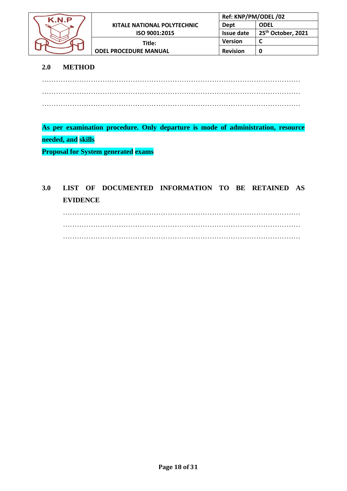

|                              |                 | Ref: KNP/PM/ODEL/02            |  |
|------------------------------|-----------------|--------------------------------|--|
| KITALE NATIONAL POLYTECHNIC  | Dept            | <b>ODEL</b>                    |  |
| ISO 9001:2015                | Issue date      | 25 <sup>th</sup> October, 2021 |  |
| Title:                       | <b>Version</b>  |                                |  |
| <b>ODEL PROCEDURE MANUAL</b> | <b>Revision</b> |                                |  |

## **2.0 METHOD**

………………………………………………………………………………………………… ………………………………………………………………………………………………… …………………………………………………………………………………………………

**As per examination procedure. Only departure is mode of administration, resource needed, and skills**

**Proposal for System generated exams**

# **3.0 LIST OF DOCUMENTED INFORMATION TO BE RETAINED AS EVIDENCE**

………………………………………………………………………………………… ………………………………………………………………………………………… …………………………………………………………………………………………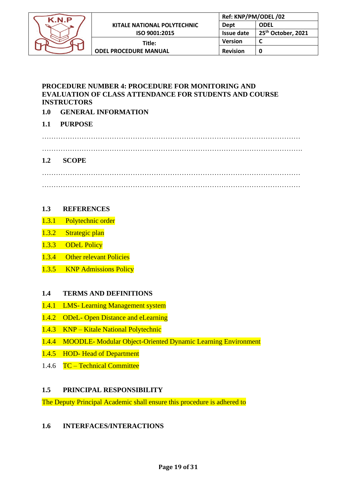

## <span id="page-18-0"></span>**PROCEDURE NUMBER 4: PROCEDURE FOR MONITORING AND EVALUATION OF CLASS ATTENDANCE FOR STUDENTS AND COURSE INSTRUCTORS**

………………………………………………………………………………………………….

- **1.0 GENERAL INFORMATION**
- **1.1 PURPOSE**

…………………………………………………………………………………………………

# **1.2 SCOPE**

………………………………………………………………………………………………… …………………………………………………………………………………………………

#### **1.3 REFERENCES**

- 1.3.1 Polytechnic order
- 1.3.2 Strategic plan
- 1.3.3 ODeL Policy
- 1.3.4 Other relevant Policies
- 1.3.5 KNP Admissions Policy

#### **1.4 TERMS AND DEFINITIONS**

- 1.4.1 LMS- Learning Management system
- 1.4.2 ODeL- Open Distance and eLearning
- 1.4.3 KNP Kitale National Polytechnic
- 1.4.4 MOODLE- Modular Object-Oriented Dynamic Learning Environment
- 1.4.5 HOD- Head of Department
- 1.4.6 TC Technical Committee

## **1.5 PRINCIPAL RESPONSIBILITY**

The Deputy Principal Academic shall ensure this procedure is adhered to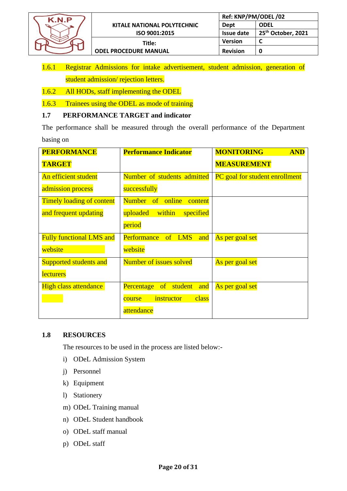

- 1.6.1 Registrar Admissions for intake advertisement, student admission, generation of student admission/ rejection letters.
- 1.6.2 All HODs, staff implementing the ODEL
- 1.6.3 Trainees using the ODEL as mode of training

## **1.7 PERFORMANCE TARGET and indicator**

The performance shall be measured through the overall performance of the Department basing on

| <b>PERFORMANCE</b>               | <b>Performance Indicator</b>    | <b>MONITORING</b><br><b>AND</b>       |
|----------------------------------|---------------------------------|---------------------------------------|
| <b>TARGET</b>                    |                                 | <b>MEASUREMENT</b>                    |
| An efficient student             | Number of students admitted     | <b>PC</b> goal for student enrollment |
| admission process                | successfully                    |                                       |
| <b>Timely loading of content</b> | Number of online content        |                                       |
| and frequent updating            | specified<br>uploaded<br>within |                                       |
|                                  | period                          |                                       |
| <b>Fully functional LMS and</b>  | Performance of LMS<br>and       | As per goal set                       |
| website                          | website                         |                                       |
| <b>Supported students and</b>    | Number of issues solved         | As per goal set                       |
| lecturers                        |                                 |                                       |
| <b>High class attendance</b>     | Percentage of student and       | As per goal set                       |
|                                  | instructor<br>class<br>course   |                                       |
|                                  | attendance                      |                                       |

## **1.8 RESOURCES**

- i) ODeL Admission System
- j) Personnel
- k) Equipment
- l) Stationery
- m) ODeL Training manual
- n) ODeL Student handbook
- o) ODeL staff manual
- p) ODeL staff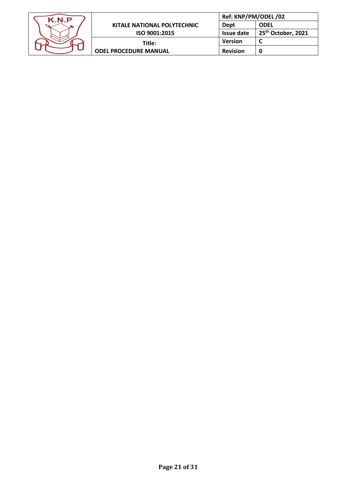| K.N.P |                                    | Ref: KNP/PM/ODEL/02 |                                |
|-------|------------------------------------|---------------------|--------------------------------|
|       | <b>KITALE NATIONAL POLYTECHNIC</b> | Dept                | <b>ODEL</b>                    |
|       | ISO 9001:2015                      | Issue date          | 25 <sup>th</sup> October, 2021 |
|       | Title:                             | <b>Version</b>      |                                |
|       | <b>ODEL PROCEDURE MANUAL</b>       | <b>Revision</b>     |                                |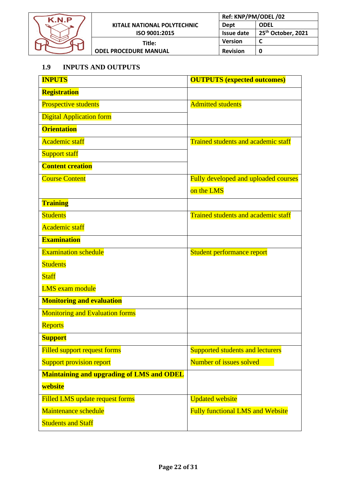

| .P |                              | Ref: KNP/PM/ODEL/02 |                                |
|----|------------------------------|---------------------|--------------------------------|
| ╰┚ | KITALE NATIONAL POLYTECHNIC  | Dept                | <b>ODEL</b>                    |
|    | ISO 9001:2015                | <b>Issue date</b>   | 25 <sup>th</sup> October, 2021 |
|    | Title:                       | <b>Version</b>      |                                |
|    | <b>ODEL PROCEDURE MANUAL</b> | <b>Revision</b>     |                                |

# **1.9 INPUTS AND OUTPUTS**

| <b>INPUTS</b>                                    | <b>OUTPUTS (expected outcomes)</b>         |
|--------------------------------------------------|--------------------------------------------|
| <b>Registration</b>                              |                                            |
| Prospective students                             | <b>Admitted students</b>                   |
| <b>Digital Application form</b>                  |                                            |
| <b>Orientation</b>                               |                                            |
| <b>Academic staff</b>                            | <b>Trained students and academic staff</b> |
| <b>Support staff</b>                             |                                            |
| <b>Content creation</b>                          |                                            |
| <b>Course Content</b>                            | Fully developed and uploaded courses       |
|                                                  | on the LMS                                 |
| <b>Training</b>                                  |                                            |
| <b>Students</b>                                  | Trained students and academic staff        |
| <b>Academic staff</b>                            |                                            |
| <b>Examination</b>                               |                                            |
| <b>Examination schedule</b>                      | Student performance report                 |
| <b>Students</b>                                  |                                            |
| <b>Staff</b>                                     |                                            |
| <b>LMS</b> exam module                           |                                            |
| <b>Monitoring and evaluation</b>                 |                                            |
| <b>Monitoring and Evaluation forms</b>           |                                            |
| Reports                                          |                                            |
| <b>Support</b>                                   |                                            |
| <b>Filled support request forms</b>              | <b>Supported students and lecturers</b>    |
| <b>Support provision report</b>                  | Number of issues solved                    |
| <b>Maintaining and upgrading of LMS and ODEL</b> |                                            |
| website                                          |                                            |
| <b>Filled LMS update request forms</b>           | <b>Updated website</b>                     |
| Maintenance schedule                             | <b>Fully functional LMS and Website</b>    |
| <b>Students and Staff</b>                        |                                            |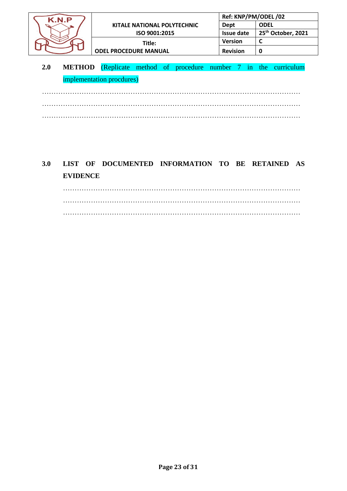| K.N.P |                              | Ref: KNP/PM/ODEL /02 |                                |
|-------|------------------------------|----------------------|--------------------------------|
|       | KITALE NATIONAL POLYTECHNIC  | Dept                 | <b>ODEL</b>                    |
|       | ISO 9001:2015                | Issue date           | 25 <sup>th</sup> October, 2021 |
|       | Title:                       | <b>Version</b>       |                                |
|       | <b>ODEL PROCEDURE MANUAL</b> | <b>Revision</b>      |                                |

# **2.0 METHOD** (Replicate method of procedure number 7 in the curriculum implementation procdures)

………………………………………………………………………………………………… ………………………………………………………………………………………………… …………………………………………………………………………………………………

# **3.0 LIST OF DOCUMENTED INFORMATION TO BE RETAINED AS EVIDENCE** …………………………………………………………………………………………

………………………………………………………………………………………… …………………………………………………………………………………………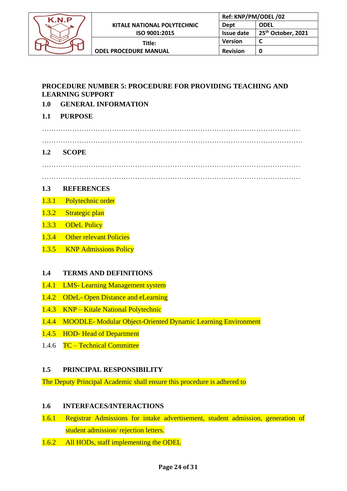

## <span id="page-23-0"></span>**PROCEDURE NUMBER 5: PROCEDURE FOR PROVIDING TEACHING AND LEARNING SUPPORT**

- **1.0 GENERAL INFORMATION**
- **1.1 PURPOSE**

…………………………………………………………………………………………………

………………………………………………………………………………………………….

# **1.2 SCOPE**

…………………………………………………………………………………………………

…………………………………………………………………………………………………

## **1.3 REFERENCES**

- 1.3.1 Polytechnic order
- 1.3.2 Strategic plan
- 1.3.3 ODeL Policy
- 1.3.4 Other relevant Policies
- 1.3.5 KNP Admissions Policy

## **1.4 TERMS AND DEFINITIONS**

- 1.4.1 LMS- Learning Management system
- 1.4.2 ODeL- Open Distance and eLearning
- 1.4.3 KNP Kitale National Polytechnic
- 1.4.4 MOODLE- Modular Object-Oriented Dynamic Learning Environment
- 1.4.5 HOD- Head of Department
- 1.4.6 TC Technical Committee

# **1.5 PRINCIPAL RESPONSIBILITY**

The Deputy Principal Academic shall ensure this procedure is adhered to

- 1.6.1 Registrar Admissions for intake advertisement, student admission, generation of student admission/ rejection letters.
- 1.6.2 All HODs, staff implementing the ODEL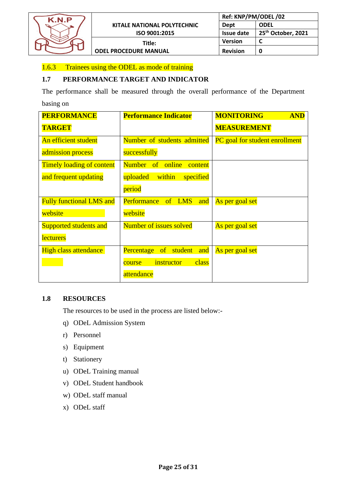

# 1.6.3 Trainees using the ODEL as mode of training

# **1.7 PERFORMANCE TARGET AND INDICATOR**

The performance shall be measured through the overall performance of the Department basing on

| <b>PERFORMANCE</b>               | <b>Performance Indicator</b>        | <b>MONITORING</b><br><b>AND</b> |
|----------------------------------|-------------------------------------|---------------------------------|
| <b>TARGET</b>                    |                                     | <b>MEASUREMENT</b>              |
| An efficient student             | Number of students admitted         | PC goal for student enrollment  |
| admission process                | successfully                        |                                 |
| <b>Timely loading of content</b> | Number of online<br>content         |                                 |
| and frequent updating            | within<br>uploaded<br>specified     |                                 |
|                                  | period                              |                                 |
| <b>Fully functional LMS and</b>  | <b>Performance</b><br>of LMS<br>and | As per goal set                 |
| website                          | website                             |                                 |
| <b>Supported students and</b>    | <b>Number of issues solved</b>      | As per goal set                 |
| <b>lecturers</b>                 |                                     |                                 |
| <b>High class attendance</b>     | Percentage of student<br>and        | As per goal set                 |
|                                  | instructor<br>class<br>course       |                                 |
|                                  | attendance                          |                                 |

## **1.8 RESOURCES**

- q) ODeL Admission System
- r) Personnel
- s) Equipment
- t) Stationery
- u) ODeL Training manual
- v) ODeL Student handbook
- w) ODeL staff manual
- x) ODeL staff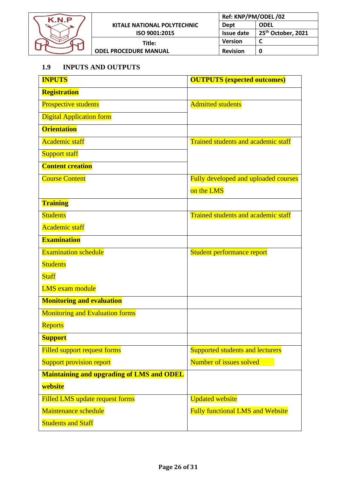

| .P |                              | Ref: KNP/PM/ODEL/02 |                                |
|----|------------------------------|---------------------|--------------------------------|
|    | KITALE NATIONAL POLYTECHNIC  | Dept                | <b>ODEL</b>                    |
|    | ISO 9001:2015                | Issue date          | 25 <sup>th</sup> October, 2021 |
|    | Title:                       | <b>Version</b>      |                                |
|    | <b>ODEL PROCEDURE MANUAL</b> | <b>Revision</b>     |                                |

# **1.9 INPUTS AND OUTPUTS**

| <b>INPUTS</b>                                    | <b>OUTPUTS (expected outcomes)</b>         |
|--------------------------------------------------|--------------------------------------------|
| <b>Registration</b>                              |                                            |
| Prospective students                             | <b>Admitted students</b>                   |
| <b>Digital Application form</b>                  |                                            |
| <b>Orientation</b>                               |                                            |
| <b>Academic staff</b>                            | <b>Trained students and academic staff</b> |
| <b>Support staff</b>                             |                                            |
| <b>Content creation</b>                          |                                            |
| <b>Course Content</b>                            | Fully developed and uploaded courses       |
|                                                  | on the LMS                                 |
| <b>Training</b>                                  |                                            |
| <b>Students</b>                                  | Trained students and academic staff        |
| <b>Academic staff</b>                            |                                            |
| <b>Examination</b>                               |                                            |
| <b>Examination schedule</b>                      | Student performance report                 |
| <b>Students</b>                                  |                                            |
| <b>Staff</b>                                     |                                            |
| <b>LMS</b> exam module                           |                                            |
| <b>Monitoring and evaluation</b>                 |                                            |
| <b>Monitoring and Evaluation forms</b>           |                                            |
| Reports                                          |                                            |
| <b>Support</b>                                   |                                            |
| <b>Filled support request forms</b>              | <b>Supported students and lecturers</b>    |
| <b>Support provision report</b>                  | Number of issues solved                    |
| <b>Maintaining and upgrading of LMS and ODEL</b> |                                            |
| website                                          |                                            |
| <b>Filled LMS update request forms</b>           | <b>Updated website</b>                     |
| Maintenance schedule                             | <b>Fully functional LMS and Website</b>    |
| <b>Students and Staff</b>                        |                                            |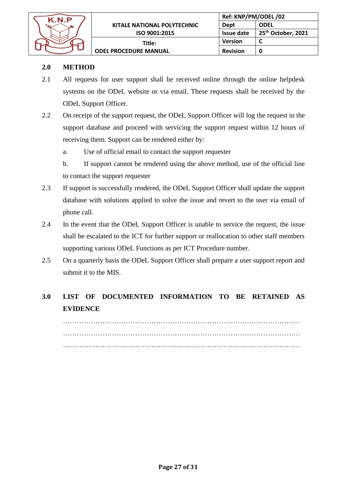

## **2.0 METHOD**

- 2.1 All requests for user support shall be received online through the online helpdesk systems on the ODeL website or via email. These requests shall be received by the ODeL Support Officer.
- 2.2 On receipt of the support request, the ODeL Support Officer will log the request in the support database and proceed with servicing the support request within 12 hours of receiving them. Support can be rendered either by:
	- a. Use of official email to contact the support requester
	- b. If support cannot be rendered using the above method, use of the official line to contact the support requester
- 2.3 If support is successfully rendered, the ODeL Support Officer shall update the support database with solutions applied to solve the issue and revert to the user via email of phone call.
- 2.4 In the event that the ODeL Support Officer is unable to service the request, the issue shall be escalated to the ICT for further support or reallocation to other staff members supporting various ODeL Functions as per ICT Procedure number.
- 2.5 On a quarterly basis the ODeL Support Officer shall prepare a user support report and submit it to the MIS.

# **3.0 LIST OF DOCUMENTED INFORMATION TO BE RETAINED AS EVIDENCE**

………………………………………………………………………………………… ………………………………………………………………………………………… …………………………………………………………………………………………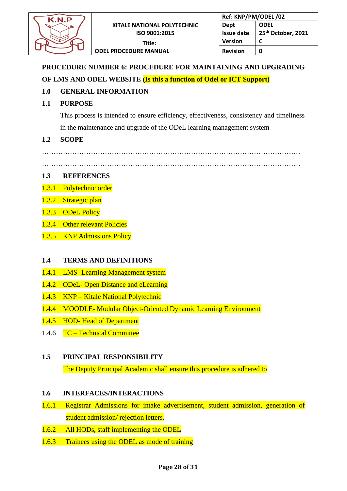

# <span id="page-27-0"></span>**PROCEDURE NUMBER 6: PROCEDURE FOR MAINTAINING AND UPGRADING**

# **OF LMS AND ODEL WEBSITE (Is this a function of Odel or ICT Support)**

# **1.0 GENERAL INFORMATION**

# **1.1 PURPOSE**

This process is intended to ensure efficiency, effectiveness, consistency and timeliness in the maintenance and upgrade of the ODeL learning management system

# **1.2 SCOPE**

…………………………………………………………………………………………………

…………………………………………………………………………………………………

## **1.3 REFERENCES**

- 1.3.1 Polytechnic order
- 1.3.2 Strategic plan
- 1.3.3 ODeL Policy
- 1.3.4 Other relevant Policies
- 1.3.5 KNP Admissions Policy

# **1.4 TERMS AND DEFINITIONS**

- 1.4.1 LMS- Learning Management system
- 1.4.2 ODeL- Open Distance and eLearning
- 1.4.3 KNP Kitale National Polytechnic
- 1.4.4 MOODLE- Modular Object-Oriented Dynamic Learning Environment
- 1.4.5 HOD- Head of Department
- 1.4.6 TC Technical Committee

# **1.5 PRINCIPAL RESPONSIBILITY**

The Deputy Principal Academic shall ensure this procedure is adhered to

- 1.6.1 Registrar Admissions for intake advertisement, student admission, generation of student admission/rejection letters.
- 1.6.2 All HODs, staff implementing the ODEL
- 1.6.3 Trainees using the ODEL as mode of training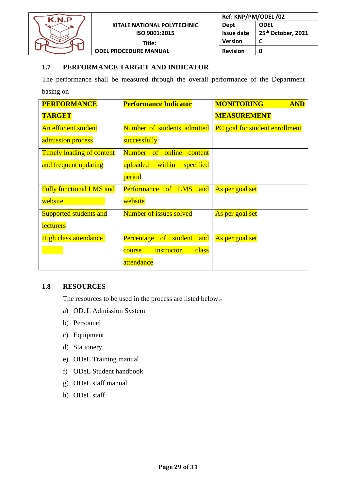

# **1.7 PERFORMANCE TARGET AND INDICATOR**

The performance shall be measured through the overall performance of the Department basing on

| <b>PERFORMANCE</b>               | <b>Performance Indicator</b>    | <b>MONITORING</b><br><b>AND</b>       |
|----------------------------------|---------------------------------|---------------------------------------|
| <b>TARGET</b>                    |                                 | <b>MEASUREMENT</b>                    |
| An efficient student             | Number of students admitted     | <b>PC</b> goal for student enrollment |
| admission process                | successfully                    |                                       |
| <b>Timely loading of content</b> | Number of online content        |                                       |
| and frequent updating            | within<br>specified<br>uploaded |                                       |
|                                  | period                          |                                       |
| <b>Fully functional LMS and</b>  | Performance of LMS<br>and       | As per goal set                       |
| website                          | website                         |                                       |
| <b>Supported students and</b>    | Number of issues solved         | As per goal set                       |
| lecturers                        |                                 |                                       |
| <b>High class attendance</b>     | Percentage of student<br>and    | As per goal set                       |
|                                  | class<br>instructor<br>course   |                                       |
|                                  | attendance                      |                                       |

# **1.8 RESOURCES**

- a) ODeL Admission System
- b) Personnel
- c) Equipment
- d) Stationery
- e) ODeL Training manual
- f) ODeL Student handbook
- g) ODeL staff manual
- h) ODeL staff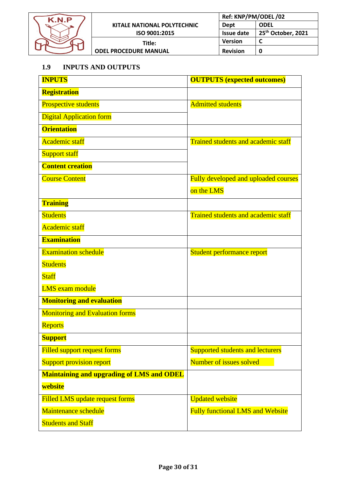

| .P |                                    | Ref: KNP/PM/ODEL /02 |                      |
|----|------------------------------------|----------------------|----------------------|
|    | <b>KITALE NATIONAL POLYTECHNIC</b> | Dept                 | <b>ODEL</b>          |
|    | ISO 9001:2015                      | Issue date           | $25th$ October, 2021 |
|    | Title:                             | <b>Version</b>       |                      |
|    | <b>ODEL PROCEDURE MANUAL</b>       | <b>Revision</b>      |                      |

# **1.9 INPUTS AND OUTPUTS**

| <b>INPUTS</b>                                    | <b>OUTPUTS (expected outcomes)</b>         |
|--------------------------------------------------|--------------------------------------------|
| <b>Registration</b>                              |                                            |
| <b>Prospective students</b>                      | <b>Admitted students</b>                   |
| <b>Digital Application form</b>                  |                                            |
| <b>Orientation</b>                               |                                            |
| <b>Academic staff</b>                            | <b>Trained students and academic staff</b> |
| <b>Support staff</b>                             |                                            |
| <b>Content creation</b>                          |                                            |
| <b>Course Content</b>                            | Fully developed and uploaded courses       |
|                                                  | on the LMS                                 |
| <b>Training</b>                                  |                                            |
| <b>Students</b>                                  | <b>Trained students and academic staff</b> |
| <b>Academic staff</b>                            |                                            |
| <b>Examination</b>                               |                                            |
| <b>Examination schedule</b>                      | Student performance report                 |
| <b>Students</b>                                  |                                            |
| <b>Staff</b>                                     |                                            |
| <b>LMS</b> exam module                           |                                            |
| <b>Monitoring and evaluation</b>                 |                                            |
| <b>Monitoring and Evaluation forms</b>           |                                            |
| <b>Reports</b>                                   |                                            |
| <b>Support</b>                                   |                                            |
| <b>Filled support request forms</b>              | <b>Supported students and lecturers</b>    |
| <b>Support provision report</b>                  | <b>Number of issues solved</b>             |
| <b>Maintaining and upgrading of LMS and ODEL</b> |                                            |
| website                                          |                                            |
| <b>Filled LMS update request forms</b>           | <b>Updated website</b>                     |
| Maintenance schedule                             | <b>Fully functional LMS and Website</b>    |
| <b>Students and Staff</b>                        |                                            |